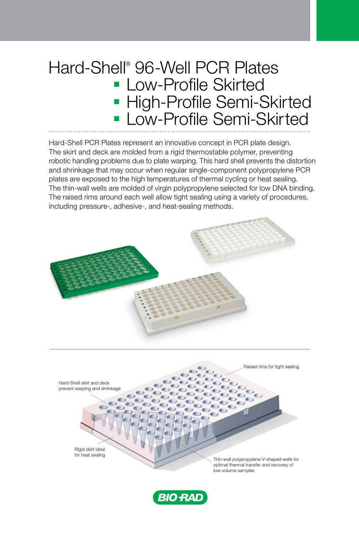## Hard-Shell® 96-Well PCR Plates ■ Low-Profile Skirted ■ High-Profile Semi-Skirted ■ Low-Profile Semi-Skirted

Hard-Shell PCR Plates represent an innovative concept in PCR plate design. The skirt and deck are molded from a rigid thermostable polymer, preventing robotic handling problems due to plate warping. This hard shell prevents the distortion and shrinkage that may occur when regular single-component polypropylene PCR plates are exposed to the high temperatures of thermal cycling or heat sealing. The thin-wall wells are molded of virgin polypropylene selected for low DNA binding. The raised rims around each well allow tight sealing using a variety of procedures, including pressure-, adhesive-, and heat-sealing methods.





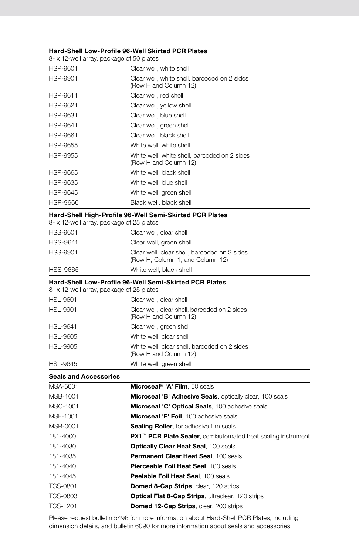## Hard-Shell Low-Profile 96-Well Skirted PCR Plates

8- x 12-well array, package of 50 plates

| HSP-9601        | Clear well, white shell                                               |
|-----------------|-----------------------------------------------------------------------|
| <b>HSP-9901</b> | Clear well, white shell, barcoded on 2 sides<br>(Row H and Column 12) |
| HSP-9611        | Clear well, red shell                                                 |
| HSP-9621        | Clear well, yellow shell                                              |
| HSP-9631        | Clear well, blue shell                                                |
| HSP-9641        | Clear well, green shell                                               |
| HSP-9661        | Clear well, black shell                                               |
| HSP-9655        | White well, white shell                                               |
| <b>HSP-9955</b> | White well, white shell, barcoded on 2 sides<br>(Row H and Column 12) |
| HSP-9665        | White well, black shell                                               |
| HSP-9635        | White well, blue shell                                                |
| <b>HSP-9645</b> | White well, green shell                                               |
| <b>HSP-9666</b> | Black well, black shell                                               |

## Hard-Shell High-Profile 96-Well Semi-Skirted PCR Plates

|                              | naru-əlimi miğli-Fronic 90-Well Əchil-Əkil teğ FCR Flates<br>8- x 12-well array, package of 25 plates     |
|------------------------------|-----------------------------------------------------------------------------------------------------------|
| <b>HSS-9601</b>              | Clear well, clear shell                                                                                   |
| <b>HSS-9641</b>              | Clear well, green shell                                                                                   |
| HSS-9901                     | Clear well, clear shell, barcoded on 3 sides<br>(Row H, Column 1, and Column 12)                          |
| <b>HSS-9665</b>              | White well, black shell                                                                                   |
|                              | <b>Hard-Shell Low-Profile 96-Well Semi-Skirted PCR Plates</b><br>8- x 12-well array, package of 25 plates |
| <b>HSL-9601</b>              | Clear well, clear shell                                                                                   |
| <b>HSL-9901</b>              | Clear well, clear shell, barcoded on 2 sides<br>(Row H and Column 12)                                     |
| HSL-9641                     | Clear well, green shell                                                                                   |
| HSL-9605                     | White well, clear shell                                                                                   |
| <b>HSL-9905</b>              | White well, clear shell, barcoded on 2 sides<br>(Row H and Column 12)                                     |
| <b>HSL-9645</b>              | White well, green shell                                                                                   |
| <b>Seals and Accessories</b> |                                                                                                           |
| MSA-5001                     | Microseal <sup>®</sup> 'A' Film. 50 seals                                                                 |
| MSB-1001                     | Microseal 'B' Adhesive Seals, optically clear, 100 seals                                                  |
| MSC-1001                     | Microseal 'C' Optical Seals, 100 adhesive seals                                                           |
| MSF-1001                     | Microseal 'F' Foil, 100 adhesive seals                                                                    |
| MSR-0001                     | <b>Sealing Roller</b> , for adhesive film seals                                                           |
| 181-4000                     | PX1 <sup>™</sup> PCR Plate Sealer, semiautomated heat sealing instrument                                  |
| 181-4030                     | <b>Optically Clear Heat Seal, 100 seals</b>                                                               |
| 181-4035                     | Permanent Clear Heat Seal. 100 seals                                                                      |
| 181-4040                     | Pierceable Foil Heat Seal. 100 seals                                                                      |
| 181-4045                     | Peelable Foil Heat Seal. 100 seals                                                                        |

| <b>TCS-0801</b> | <b>Domed 8-Cap Strips, clear, 120 strips</b> |  |
|-----------------|----------------------------------------------|--|
|                 |                                              |  |

| TCS-0803 | <b>Optical Flat 8-Cap Strips, ultraclear, 120 strips</b> |  |
|----------|----------------------------------------------------------|--|

TCS-1201 **Domed 12-Cap Strips**, clear, 200 strips

Please request bulletin 5496 for more information about Hard-Shell PCR Plates, including dimension details, and bulletin 6090 for more information about seals and accessories.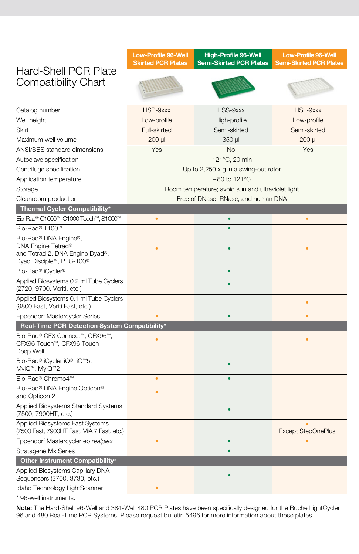| <b>Hard-Shell PCR Plate</b>                                                                                | <b>Low-Profile 96-Well</b><br><b>Skirted PCR Plates</b> | <b>High-Profile 96-Well</b><br><b>Semi-Skirted PCR Plates</b> | <b>Low-Profile 96-Well</b><br><b>Semi-Skirted PCR Plates</b> |
|------------------------------------------------------------------------------------------------------------|---------------------------------------------------------|---------------------------------------------------------------|--------------------------------------------------------------|
| <b>Compatibility Chart</b>                                                                                 |                                                         |                                                               |                                                              |
| Catalog number                                                                                             | HSP-9xxx                                                | HSS-9xxx                                                      | HSL-9xxx                                                     |
| Well height                                                                                                | Low-profile                                             | High-profile                                                  | Low-profile                                                  |
| Skirt                                                                                                      | Full-skirted                                            | Semi-skirted                                                  | Semi-skirted                                                 |
| Maximum well volume                                                                                        | 200 µl                                                  | 350 µl                                                        | 200 µl                                                       |
| ANSI/SBS standard dimensions                                                                               | Yes                                                     | <b>No</b>                                                     | Yes                                                          |
| Autoclave specification                                                                                    | 121°C, 20 min                                           |                                                               |                                                              |
| Centrifuge specification                                                                                   | Up to $2,250 \times g$ in a swing-out rotor             |                                                               |                                                              |
| Application temperature                                                                                    | $-80$ to 121 $^{\circ}$ C                               |                                                               |                                                              |
| Storage                                                                                                    | Room temperature; avoid sun and ultraviolet light       |                                                               |                                                              |
| Cleanroom production                                                                                       |                                                         | Free of DNase, RNase, and human DNA                           |                                                              |
| Thermal Cycler Compatibility*                                                                              |                                                         |                                                               |                                                              |
| Bio-Rad® C1000™, C1000 Touch™, S1000™                                                                      | $\bullet$                                               | $\bullet$                                                     | ٠                                                            |
| Bio-Rad® T100™                                                                                             |                                                         |                                                               |                                                              |
| Bio-Rad® DNA Engine®,<br>DNA Engine Tetrad®<br>and Tetrad 2, DNA Engine Dyad®,<br>Dyad Disciple™, PTC-100® |                                                         |                                                               |                                                              |
| Bio-Rad® iCycler®                                                                                          |                                                         | ò                                                             |                                                              |
| Applied Biosystems 0.2 ml Tube Cyclers<br>(2720, 9700, Veriti, etc.)                                       |                                                         |                                                               |                                                              |
| Applied Biosystems 0.1 ml Tube Cyclers<br>(9800 Fast, Veriti Fast, etc.)                                   |                                                         |                                                               |                                                              |
| <b>Eppendorf Mastercycler Series</b>                                                                       |                                                         | ٠                                                             | $\bullet$                                                    |
| Real-Time PCR Detection System Compatibility*                                                              |                                                         |                                                               |                                                              |
| Bio-Rad® CFX Connect™, CFX96™,<br>CFX96 Touch™, CFX96 Touch<br>Deep Well                                   |                                                         |                                                               |                                                              |
| Bio-Rad® iCycler iQ®, iQ™5,<br>MyiQ™, MyiQ™2                                                               |                                                         |                                                               |                                                              |
| Bio-Rad® Chromo4™                                                                                          | ٠                                                       | ö                                                             |                                                              |
| Bio-Rad® DNA Engine Opticon®<br>and Opticon 2                                                              |                                                         |                                                               |                                                              |
| Applied Biosystems Standard Systems<br>(7500, 7900HT, etc.)                                                |                                                         | $\bullet$                                                     |                                                              |
| Applied Biosystems Fast Systems<br>(7500 Fast, 7900HT Fast, ViiA 7 Fast, etc.)                             |                                                         |                                                               | <b>Except StepOnePlus</b>                                    |
| Eppendorf Mastercycler ep realplex                                                                         | $\bullet$                                               | ٠                                                             |                                                              |
| <b>Stratagene Mx Series</b>                                                                                |                                                         |                                                               |                                                              |
| Other Instrument Compatibility*                                                                            |                                                         |                                                               |                                                              |
| Applied Biosystems Capillary DNA<br>Sequencers (3700, 3730, etc.)                                          |                                                         |                                                               |                                                              |
| Idaho Technology LightScanner                                                                              | $\bullet$                                               |                                                               |                                                              |
|                                                                                                            |                                                         |                                                               |                                                              |

96-well instruments.

Note: The Hard-Shell 96-Well and 384-Well 480 PCR Plates have been specifically designed for the Roche LightCycler 96 and 480 Real-Time PCR Systems. Please request bulletin 5496 for more information about these plates.